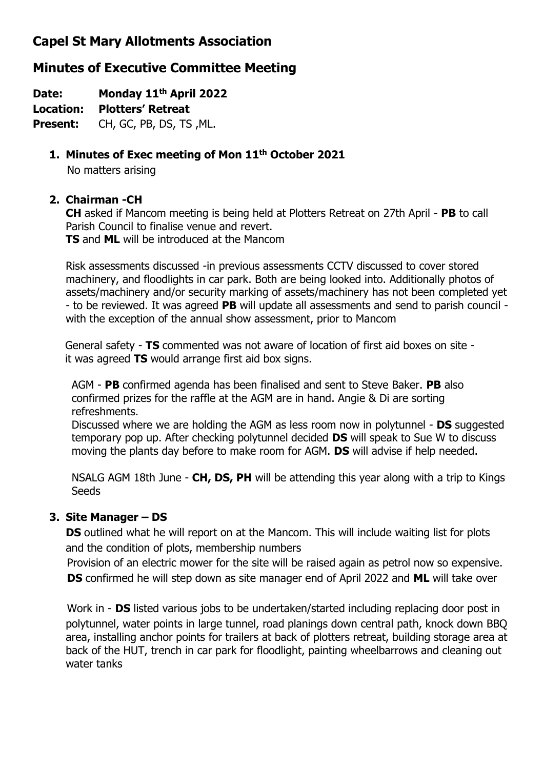## **Capel St Mary Allotments Association**

# **Minutes of Executive Committee Meeting**

**Date: Monday 11th April 2022**

**Location: Plotters' Retreat**

**Present:** CH, GC, PB, DS, TS ,ML.

### **1. Minutes of Exec meeting of Mon 11 th October 2021**

No matters arising

### **2. Chairman -CH**

**CH** asked if Mancom meeting is being held at Plotters Retreat on 27th April - **PB** to call Parish Council to finalise venue and revert. **TS** and **ML** will be introduced at the Mancom

Risk assessments discussed -in previous assessments CCTV discussed to cover stored machinery, and floodlights in car park. Both are being looked into. Additionally photos of assets/machinery and/or security marking of assets/machinery has not been completed yet - to be reviewed. It was agreed **PB** will update all assessments and send to parish council with the exception of the annual show assessment, prior to Mancom

General safety - **TS** commented was not aware of location of first aid boxes on site it was agreed **TS** would arrange first aid box signs.

AGM - **PB** confirmed agenda has been finalised and sent to Steve Baker. **PB** also confirmed prizes for the raffle at the AGM are in hand. Angie & Di are sorting refreshments.

Discussed where we are holding the AGM as less room now in polytunnel - **DS** suggested temporary pop up. After checking polytunnel decided **DS** will speak to Sue W to discuss moving the plants day before to make room for AGM. **DS** will advise if help needed.

NSALG AGM 18th June - **CH, DS, PH** will be attending this year along with a trip to Kings **Seeds** 

### **3. Site Manager – DS**

**DS** outlined what he will report on at the Mancom. This will include waiting list for plots and the condition of plots, membership numbers

 Provision of an electric mower for the site will be raised again as petrol now so expensive. **DS** confirmed he will step down as site manager end of April 2022 and **ML** will take over

 Work in - **DS** listed various jobs to be undertaken/started including replacing door post in polytunnel, water points in large tunnel, road planings down central path, knock down BBQ area, installing anchor points for trailers at back of plotters retreat, building storage area at back of the HUT, trench in car park for floodlight, painting wheelbarrows and cleaning out water tanks